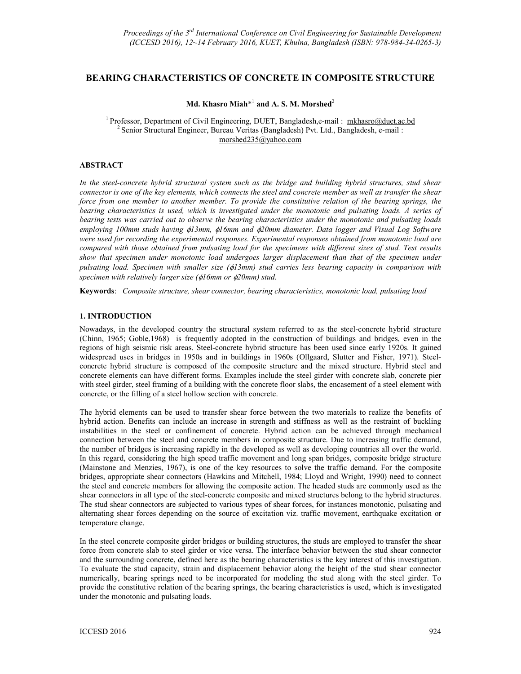# **BEARING CHARACTERISTICS OF CONCRETE IN COMPOSITE STRUCTURE**

## **Md. Khasro Miah**\* 1  **and A. S. M. Morshed**<sup>2</sup>

<sup>1</sup> Professor, Department of Civil Engineering, DUET, Bangladesh,e-mail : mkhasro@duet.ac.bd <sup>2</sup> Senior Structural Engineer, Bureau Veritas (Bangladesh) Pvt. Ltd., Bangladesh, e-mail : morshed235@yahoo.com

### **ABSTRACT**

*In the steel-concrete hybrid structural system such as the bridge and building hybrid structures, stud shear connector is one of the key elements, which connects the steel and concrete member as well as transfer the shear force from one member to another member. To provide the constitutive relation of the bearing springs, the bearing characteristics is used, which is investigated under the monotonic and pulsating loads. A series of bearing tests was carried out to observe the bearing characteristics under the monotonic and pulsating loads employing 100mm studs having* φ*13mm,* φ*16mm and* φ*20mm diameter. Data logger and Visual Log Software were used for recording the experimental responses. Experimental responses obtained from monotonic load are compared with those obtained from pulsating load for the specimens with different sizes of stud. Test results show that specimen under monotonic load undergoes larger displacement than that of the specimen under pulsating load. Specimen with smaller size (*φ*13mm) stud carries less bearing capacity in comparison with specimen with relatively larger size (*φ*16mm or* φ*20mm) stud.* 

**Keywords**: *Composite structure, shear connector, bearing characteristics, monotonic load, pulsating load*

### **1. INTRODUCTION**

Nowadays, in the developed country the structural system referred to as the steel-concrete hybrid structure (Chinn, 1965; Goble,1968) is frequently adopted in the construction of buildings and bridges, even in the regions of high seismic risk areas. Steel-concrete hybrid structure has been used since early 1920s. It gained widespread uses in bridges in 1950s and in buildings in 1960s (Ollgaard, Slutter and Fisher, 1971). Steelconcrete hybrid structure is composed of the composite structure and the mixed structure. Hybrid steel and concrete elements can have different forms. Examples include the steel girder with concrete slab, concrete pier with steel girder, steel framing of a building with the concrete floor slabs, the encasement of a steel element with concrete, or the filling of a steel hollow section with concrete.

The hybrid elements can be used to transfer shear force between the two materials to realize the benefits of hybrid action. Benefits can include an increase in strength and stiffness as well as the restraint of buckling instabilities in the steel or confinement of concrete. Hybrid action can be achieved through mechanical connection between the steel and concrete members in composite structure. Due to increasing traffic demand, the number of bridges is increasing rapidly in the developed as well as developing countries all over the world. In this regard, considering the high speed traffic movement and long span bridges, composite bridge structure (Mainstone and Menzies, 1967), is one of the key resources to solve the traffic demand. For the composite bridges, appropriate shear connectors (Hawkins and Mitchell, 1984; Lloyd and Wright, 1990) need to connect the steel and concrete members for allowing the composite action. The headed studs are commonly used as the shear connectors in all type of the steel-concrete composite and mixed structures belong to the hybrid structures. The stud shear connectors are subjected to various types of shear forces, for instances monotonic, pulsating and alternating shear forces depending on the source of excitation viz. traffic movement, earthquake excitation or temperature change.

In the steel concrete composite girder bridges or building structures, the studs are employed to transfer the shear force from concrete slab to steel girder or vice versa. The interface behavior between the stud shear connector and the surrounding concrete, defined here as the bearing characteristics is the key interest of this investigation. To evaluate the stud capacity, strain and displacement behavior along the height of the stud shear connector numerically, bearing springs need to be incorporated for modeling the stud along with the steel girder. To provide the constitutive relation of the bearing springs, the bearing characteristics is used, which is investigated under the monotonic and pulsating loads.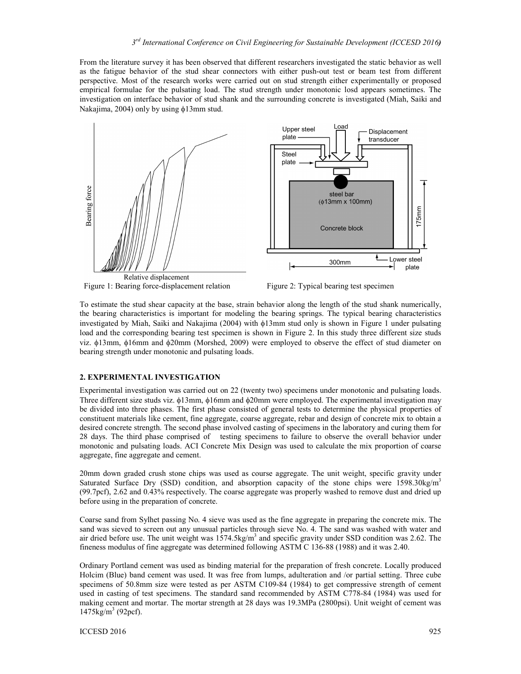From the literature survey it has been observed that different researchers investigated the static behavior as well as the fatigue behavior of the stud shear connectors with either push-out test or beam test from different perspective. Most of the research works were carried out on stud strength either experimentally or proposed empirical formulae for the pulsating load. The stud strength under monotonic losd appears sometimes. The investigation on interface behavior of stud shank and the surrounding concrete is investigated (Miah, Saiki and Nakajima, 2004) only by using φ13mm stud.



Figure 1: Bearing force-displacement relation Figure 2: Typical bearing test specimen

To estimate the stud shear capacity at the base, strain behavior along the length of the stud shank numerically, the bearing characteristics is important for modeling the bearing springs. The typical bearing characteristics investigated by Miah, Saiki and Nakajima (2004) with φ13mm stud only is shown in Figure 1 under pulsating load and the corresponding bearing test specimen is shown in Figure 2. In this study three different size studs viz. φ13mm, φ16mm and φ20mm (Morshed, 2009) were employed to observe the effect of stud diameter on bearing strength under monotonic and pulsating loads.

### **2. EXPERIMENTAL INVESTIGATION**

Experimental investigation was carried out on 22 (twenty two) specimens under monotonic and pulsating loads. Three different size studs viz. φ13mm, φ16mm and φ20mm were employed. The experimental investigation may be divided into three phases. The first phase consisted of general tests to determine the physical properties of constituent materials like cement, fine aggregate, coarse aggregate, rebar and design of concrete mix to obtain a desired concrete strength. The second phase involved casting of specimens in the laboratory and curing them for 28 days. The third phase comprised of testing specimens to failure to observe the overall behavior under monotonic and pulsating loads. ACI Concrete Mix Design was used to calculate the mix proportion of coarse aggregate, fine aggregate and cement.

20mm down graded crush stone chips was used as course aggregate. The unit weight, specific gravity under Saturated Surface Dry (SSD) condition, and absorption capacity of the stone chips were  $1598.30 \text{kg/m}^3$ (99.7pcf), 2.62 and 0.43% respectively. The coarse aggregate was properly washed to remove dust and dried up before using in the preparation of concrete.

Coarse sand from Sylhet passing No. 4 sieve was used as the fine aggregate in preparing the concrete mix. The sand was sieved to screen out any unusual particles through sieve No. 4. The sand was washed with water and air dried before use. The unit weight was  $1574.5$ kg/m<sup>3</sup> and specific gravity under SSD condition was 2.62. The fineness modulus of fine aggregate was determined following ASTM C 136-88 (1988) and it was 2.40.

Ordinary Portland cement was used as binding material for the preparation of fresh concrete. Locally produced Holcim (Blue) band cement was used. It was free from lumps, adulteration and /or partial setting. Three cube specimens of 50.8mm size were tested as per ASTM C109-84 (1984) to get compressive strength of cement used in casting of test specimens. The standard sand recommended by ASTM C778-84 (1984) was used for making cement and mortar. The mortar strength at 28 days was 19.3MPa (2800psi). Unit weight of cement was 1475kg/m<sup>3</sup> (92pcf).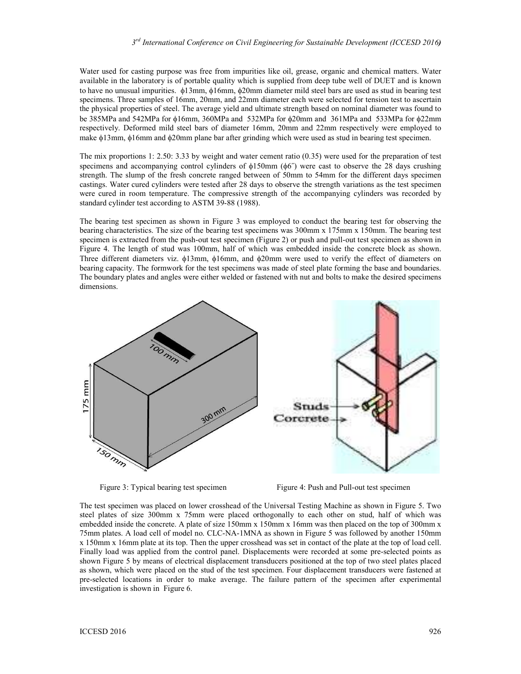Water used for casting purpose was free from impurities like oil, grease, organic and chemical matters. Water available in the laboratory is of portable quality which is supplied from deep tube well of DUET and is known to have no unusual impurities. φ13mm, φ16mm, φ20mm diameter mild steel bars are used as stud in bearing test specimens. Three samples of 16mm, 20mm, and 22mm diameter each were selected for tension test to ascertain the physical properties of steel. The average yield and ultimate strength based on nominal diameter was found to be 385MPa and 542MPa for φ16mm, 360MPa and 532MPa for φ20mm and 361MPa and 533MPa for φ22mm respectively. Deformed mild steel bars of diameter 16mm, 20mm and 22mm respectively were employed to make φ13mm, φ16mm and φ20mm plane bar after grinding which were used as stud in bearing test specimen.

The mix proportions 1: 2.50: 3.33 by weight and water cement ratio (0.35) were used for the preparation of test specimens and accompanying control cylinders of  $\phi$ 150mm ( $\phi$ 6<sup>*°*</sup>) were cast to observe the 28 days crushing strength. The slump of the fresh concrete ranged between of 50mm to 54mm for the different days specimen castings. Water cured cylinders were tested after 28 days to observe the strength variations as the test specimen were cured in room temperature. The compressive strength of the accompanying cylinders was recorded by standard cylinder test according to ASTM 39-88 (1988).

The bearing test specimen as shown in Figure 3 was employed to conduct the bearing test for observing the bearing characteristics. The size of the bearing test specimens was 300mm x 175mm x 150mm. The bearing test specimen is extracted from the push-out test specimen (Figure 2) or push and pull-out test specimen as shown in Figure 4. The length of stud was 100mm, half of which was embedded inside the concrete block as shown. Three different diameters viz. φ13mm, φ16mm, and φ20mm were used to verify the effect of diameters on bearing capacity. The formwork for the test specimens was made of steel plate forming the base and boundaries. The boundary plates and angles were either welded or fastened with nut and bolts to make the desired specimens dimensions.



Figure 3: Typical bearing test specimen Figure 4: Push and Pull-out test specimen

The test specimen was placed on lower crosshead of the Universal Testing Machine as shown in Figure 5. Two steel plates of size 300mm x 75mm were placed orthogonally to each other on stud, half of which was embedded inside the concrete. A plate of size 150mm x 150mm x 16mm was then placed on the top of 300mm x 75mm plates. A load cell of model no. CLC-NA-1MNA as shown in Figure 5 was followed by another 150mm x 150mm x 16mm plate at its top. Then the upper crosshead was set in contact of the plate at the top of load cell. Finally load was applied from the control panel. Displacements were recorded at some pre-selected points as shown Figure 5 by means of electrical displacement transducers positioned at the top of two steel plates placed as shown, which were placed on the stud of the test specimen. Four displacement transducers were fastened at pre-selected locations in order to make average. The failure pattern of the specimen after experimental investigation is shown in Figure 6.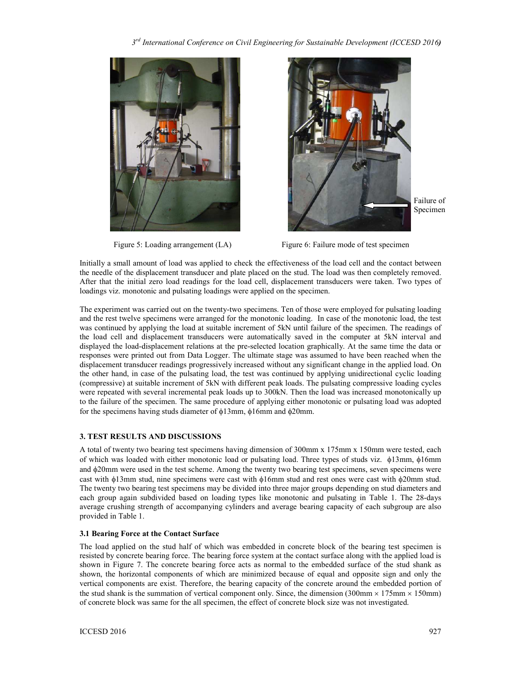*3 rd International Conference on Civil Engineering for Sustainable Development (ICCESD 2016)* 





Failure of Specimen

**Figure 5: Loading arrangement (LA) Figure 6: Failure mode of test specimen** 

Initially a small amount of load was applied to check the effectiveness of the load cell and the contact between the needle of the displacement transducer and plate placed on the stud. The load was then completely removed. After that the initial zero load readings for the load cell, displacement transducers were taken. Two types of loadings viz. monotonic and pulsating loadings were applied on the specimen.

The experiment was carried out on the twenty-two specimens. Ten of those were employed for pulsating loading and the rest twelve specimens were arranged for the monotonic loading. In case of the monotonic load, the test was continued by applying the load at suitable increment of 5kN until failure of the specimen. The readings of the load cell and displacement transducers were automatically saved in the computer at 5kN interval and displayed the load-displacement relations at the pre-selected location graphically. At the same time the data or responses were printed out from Data Logger. The ultimate stage was assumed to have been reached when the displacement transducer readings progressively increased without any significant change in the applied load. On the other hand, in case of the pulsating load, the test was continued by applying unidirectional cyclic loading (compressive) at suitable increment of 5kN with different peak loads. The pulsating compressive loading cycles were repeated with several incremental peak loads up to 300kN. Then the load was increased monotonically up to the failure of the specimen. The same procedure of applying either monotonic or pulsating load was adopted for the specimens having studs diameter of φ13mm, φ16mm and φ20mm.

## **3. TEST RESULTS AND DISCUSSIONS**

A total of twenty two bearing test specimens having dimension of 300mm x 175mm x 150mm were tested, each of which was loaded with either monotonic load or pulsating load. Three types of studs viz. φ13mm, φ16mm and φ20mm were used in the test scheme. Among the twenty two bearing test specimens, seven specimens were cast with φ13mm stud, nine specimens were cast with φ16mm stud and rest ones were cast with φ20mm stud. The twenty two bearing test specimens may be divided into three major groups depending on stud diameters and each group again subdivided based on loading types like monotonic and pulsating in Table 1. The 28-days average crushing strength of accompanying cylinders and average bearing capacity of each subgroup are also provided in Table 1.

## **3.1 Bearing Force at the Contact Surface**

The load applied on the stud half of which was embedded in concrete block of the bearing test specimen is resisted by concrete bearing force. The bearing force system at the contact surface along with the applied load is shown in Figure 7. The concrete bearing force acts as normal to the embedded surface of the stud shank as shown, the horizontal components of which are minimized because of equal and opposite sign and only the vertical components are exist. Therefore, the bearing capacity of the concrete around the embedded portion of the stud shank is the summation of vertical component only. Since, the dimension (300mm  $\times$  175mm  $\times$  150mm) of concrete block was same for the all specimen, the effect of concrete block size was not investigated.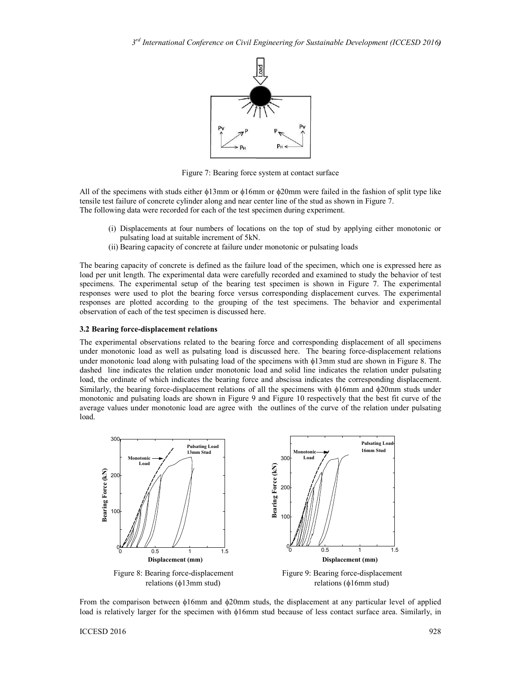

Figure 7: Bearing force system at contact surface

All of the specimens with studs either φ13mm or φ16mm or φ20mm were failed in the fashion of split type like tensile test failure of concrete cylinder along and near center line of the stud as shown in Figure 7. The following data were recorded for each of the test specimen during experiment.

- (i) Displacements at four numbers of locations on the top of stud by applying either monotonic or pulsating load at suitable increment of 5kN.
- (ii) Bearing capacity of concrete at failure under monotonic or pulsating loads

The bearing capacity of concrete is defined as the failure load of the specimen, which one is expressed here as load per unit length. The experimental data were carefully recorded and examined to study the behavior of test specimens. The experimental setup of the bearing test specimen is shown in Figure 7. The experimental responses were used to plot the bearing force versus corresponding displacement curves. The experimental responses are plotted according to the grouping of the test specimens. The behavior and experimental observation of each of the test specimen is discussed here.

#### **3.2 Bearing force-displacement relations**

The experimental observations related to the bearing force and corresponding displacement of all specimens under monotonic load as well as pulsating load is discussed here. The bearing force-displacement relations under monotonic load along with pulsating load of the specimens with φ13mm stud are shown in Figure 8. The dashed line indicates the relation under monotonic load and solid line indicates the relation under pulsating load, the ordinate of which indicates the bearing force and abscissa indicates the corresponding displacement. Similarly, the bearing force-displacement relations of all the specimens with φ16mm and φ20mm studs under monotonic and pulsating loads are shown in Figure 9 and Figure 10 respectively that the best fit curve of the average values under monotonic load are agree with the outlines of the curve of the relation under pulsating load.



From the comparison between φ16mm and φ20mm studs, the displacement at any particular level of applied load is relatively larger for the specimen with φ16mm stud because of less contact surface area. Similarly, in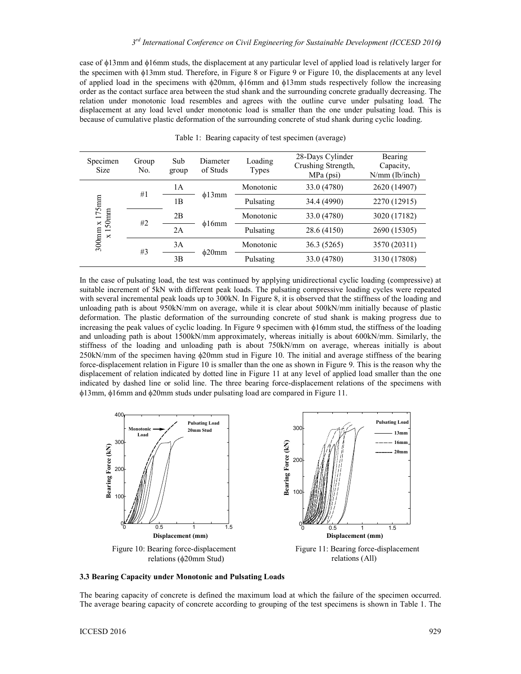case of φ13mm and φ16mm studs, the displacement at any particular level of applied load is relatively larger for the specimen with φ13mm stud. Therefore, in Figure 8 or Figure 9 or Figure 10, the displacements at any level of applied load in the specimens with φ20mm, φ16mm and φ13mm studs respectively follow the increasing order as the contact surface area between the stud shank and the surrounding concrete gradually decreasing. The relation under monotonic load resembles and agrees with the outline curve under pulsating load. The displacement at any load level under monotonic load is smaller than the one under pulsating load. This is because of cumulative plastic deformation of the surrounding concrete of stud shank during cyclic loading.

| Specimen<br><b>Size</b>                                                  | Group<br>No. | Sub<br>group | Diameter<br>of Studs | Loading<br>Types | 28-Days Cylinder<br>Crushing Strength,<br>MPa (psi) | Bearing<br>Capacity,<br>$N/mm$ (lb/inch) |
|--------------------------------------------------------------------------|--------------|--------------|----------------------|------------------|-----------------------------------------------------|------------------------------------------|
| 175mm<br>$50$ mm<br>$\Join$<br>$300$ mm<br>$\overline{\phantom{0}}$<br>× | #1           | 1A           | $\phi$ 13mm          | Monotonic        | 33.0 (4780)                                         | 2620 (14907)                             |
|                                                                          |              | 1B           |                      | Pulsating        | 34.4 (4990)                                         | 2270 (12915)                             |
|                                                                          | #2           | 2B           | $\phi$ 16mm          | Monotonic        | 33.0 (4780)                                         | 3020 (17182)                             |
|                                                                          |              | 2A           |                      | Pulsating        | 28.6 (4150)                                         | 2690 (15305)                             |
|                                                                          | #3           | 3A           | $\phi$ 20mm          | Monotonic        | 36.3 (5265)                                         | 3570 (20311)                             |
|                                                                          |              | 3B           |                      | Pulsating        | 33.0 (4780)                                         | 3130 (17808)                             |

Table 1: Bearing capacity of test specimen (average)

In the case of pulsating load, the test was continued by applying unidirectional cyclic loading (compressive) at suitable increment of 5kN with different peak loads. The pulsating compressive loading cycles were repeated with several incremental peak loads up to 300kN. In Figure 8, it is observed that the stiffness of the loading and unloading path is about 950kN/mm on average, while it is clear about 500kN/mm initially because of plastic deformation. The plastic deformation of the surrounding concrete of stud shank is making progress due to increasing the peak values of cyclic loading. In Figure 9 specimen with φ16mm stud, the stiffness of the loading and unloading path is about 1500kN/mm approximately, whereas initially is about 600kN/mm. Similarly, the stiffness of the loading and unloading path is about 750kN/mm on average, whereas initially is about 250kN/mm of the specimen having φ20mm stud in Figure 10. The initial and average stiffness of the bearing force-displacement relation in Figure 10 is smaller than the one as shown in Figure 9. This is the reason why the displacement of relation indicated by dotted line in Figure 11 at any level of applied load smaller than the one indicated by dashed line or solid line. The three bearing force-displacement relations of the specimens with φ13mm, φ16mm and φ20mm studs under pulsating load are compared in Figure 11.



**3.3 Bearing Capacity under Monotonic and Pulsating Loads** 

The bearing capacity of concrete is defined the maximum load at which the failure of the specimen occurred. The average bearing capacity of concrete according to grouping of the test specimens is shown in Table 1. The